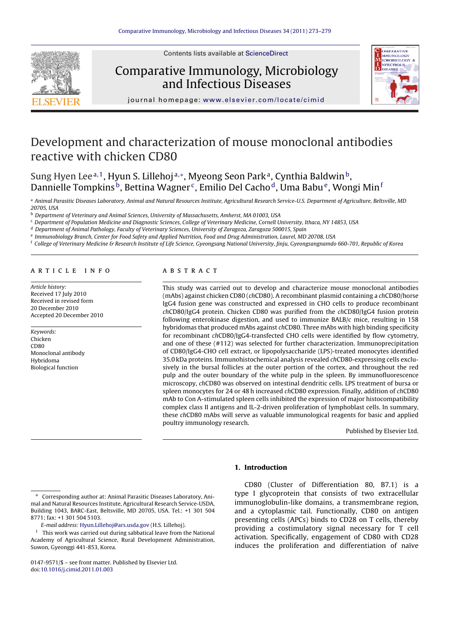

Contents lists available at [ScienceDirect](http://www.sciencedirect.com/science/journal/01479571)

# Comparative Immunology, Microbiology and Infectious Diseases



journal homepage: [www.elsevier.com/locate/cimid](http://www.elsevier.com/locate/cimid)

# Development and characterization of mouse monoclonal antibodies reactive with chicken CD80

Sung Hyen Lee<sup>a, 1</sup>, Hyun S. Lillehoj<sup>a,∗</sup>, Myeong Seon Park<sup>a</sup>, Cynthia Baldwin<sup>b</sup>, Dannielle Tompkins<sup>b</sup>, Bettina Wagner<sup>c</sup>, Emilio Del Cacho<sup>d</sup>, Uma Babu<sup>e</sup>, Wongi Min<sup>f</sup>

a Animal Parasitic Diseases Laboratory, Animal and Natural Resources Institute, Agricultural Research Service-U.S. Department of Agriculture, Beltsville, MD 20705, USA

<sup>b</sup> Department of Veterinary and Animal Sciences, University of Massachusetts, Amherst, MA 01003, USA

<sup>c</sup> Department of Population Medicine and Diagnostic Sciences, College of Veterinary Medicine, Cornell University, Ithaca, NY 14853, USA

<sup>d</sup> Department of Animal Pathology, Faculty of Veterinary Sciences, University of Zaragoza, Zaragoza 500015, Spain

<sup>e</sup> Immunobiology Branch, Center for Food Safety and Applied Nutrition, Food and Drug Administration, Laurel, MD 20708, USA

<sup>f</sup> College of Veterinary Medicine & Research Institute of Life Science, Gyeongsang National University, Jinju, Gyeongsangnamdo 660-701, Republic of Korea

#### article info

Article history: Received 17 July 2010 Received in revised form 20 December 2010 Accepted 20 December 2010

Keywords: Chicken C<sub>D80</sub> Monoclonal antibody Hybridoma Biological function

#### ABSTRACT

This study was carried out to develop and characterize mouse monoclonal antibodies (mAbs) against chicken CD80 (chCD80). A recombinant plasmid containing a chCD80/horse IgG4 fusion gene was constructed and expressed in CHO cells to produce recombinant chCD80/IgG4 protein. Chicken CD80 was purified from the chCD80/IgG4 fusion protein following enterokinase digestion, and used to immunize BALB/c mice, resulting in 158 hybridomas that produced mAbs against chCD80. Three mAbs with high binding specificity for recombinant chCD80/IgG4-transfected CHO cells were identified by flow cytometry, and one of these (#112) was selected for further characterization. Immunoprecipitation of CD80/IgG4-CHO cell extract, or lipopolysaccharide (LPS)-treated monocytes identified 35.0 kDa proteins. Immunohistochemical analysis revealed chCD80-expressing cells exclusively in the bursal follicles at the outer portion of the cortex, and throughout the red pulp and the outer boundary of the white pulp in the spleen. By immunofluorescence microscopy, chCD80 was observed on intestinal dendritic cells. LPS treatment of bursa or spleen monocytes for 24 or 48 h increased chCD80 expression. Finally, addition of chCD80 mAb to Con A-stimulated spleen cells inhibited the expression of major histocompatibility complex class II antigens and IL-2-driven proliferation of lymphoblast cells. In summary, these chCD80 mAbs will serve as valuable immunological reagents for basic and applied poultry immunology research.

Published by Elsevier Ltd.

# **1. Introduction**

CD80 (Cluster of Differentiation 80, B7.1) is a type I glycoprotein that consists of two extracellular immunoglobulin-like domains, a transmembrane region, and a cytoplasmic tail. Functionally, CD80 on antigen presenting cells (APCs) binds to CD28 on T cells, thereby providing a costimulatory signal necessary for T cell activation. Specifically, engagement of CD80 with CD28 induces the proliferation and differentiation of naïve

Corresponding author at: Animal Parasitic Diseases Laboratory, Animal and Natural Resources Institute, Agricultural Research Service-USDA, Building 1043, BARC-East, Beltsville, MD 20705, USA. Tel.: +1 301 504 8771; fax: +1 301 504 5103.

E-mail address: [Hyun.Lillehoj@ars.usda.gov](mailto:Hyun.Lillehoj@ars.usda.gov) (H.S. Lillehoj).

 $1$  This work was carried out during sabbatical leave from the National Academy of Agricultural Science, Rural Development Administration, Suwon, Gyeonggi 441-853, Korea.

<sup>0147-9571/\$ –</sup> see front matter. Published by Elsevier Ltd. doi:[10.1016/j.cimid.2011.01.003](dx.doi.org/10.1016/j.cimid.2011.01.003)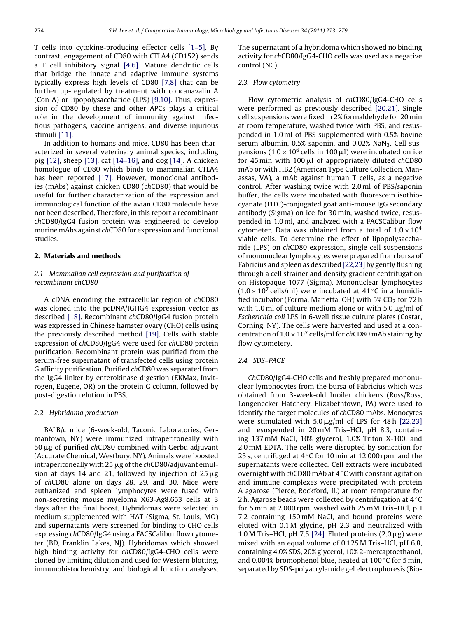<span id="page-1-0"></span>T cells into cytokine-producing effector cells [\[1–5\].](#page-5-0) By contrast, engagement of CD80 with CTLA4 (CD152) sends a T cell inhibitory signal [\[4,6\].](#page-5-0) Mature dendritic cells that bridge the innate and adaptive immune systems typically express high levels of CD80 [\[7,8\]](#page-5-0) that can be further up-regulated by treatment with concanavalin A (Con A) or lipopolysaccharide (LPS) [\[9,10\].](#page-5-0) Thus, expression of CD80 by these and other APCs plays a critical role in the development of immunity against infectious pathogens, vaccine antigens, and diverse injurious stimuli [\[11\].](#page-6-0)

In addition to humans and mice, CD80 has been characterized in several veterinary animal species, including pig [\[12\], s](#page-6-0)heep [\[13\], c](#page-6-0)at [\[14–16\], a](#page-6-0)nd dog [\[14\]. A](#page-6-0) chicken homologue of CD80 which binds to mammalian CTLA4 has been reported [\[17\].](#page-6-0) However, monoclonal antibodies (mAbs) against chicken CD80 (chCD80) that would be useful for further characterization of the expression and immunological function of the avian CD80 molecule have not been described. Therefore, in this report a recombinant chCD80/IgG4 fusion protein was engineered to develop murine mAbs against chCD80 for expression and functional studies.

## **2. Materials and methods**

# 2.1. Mammalian cell expression and purification of recombinant chCD80

A cDNA encoding the extracellular region of chCD80 was cloned into the pcDNA/IGHG4 expression vector as described [\[18\]. R](#page-6-0)ecombinant chCD80/IgG4 fusion protein was expressed in Chinese hamster ovary (CHO) cells using the previously described method [\[19\].](#page-6-0) Cells with stable expression of chCD80/IgG4 were used for chCD80 protein purification. Recombinant protein was purified from the serum-free supernatant of transfected cells using protein G affinity purification. Purified chCD80 was separated from the IgG4 linker by enterokinase digestion (EKMax, Invitrogen, Eugene, OR) on the protein G column, followed by post-digestion elution in PBS.

#### 2.2. Hybridoma production

BALB/c mice (6-week-old, Taconic Laboratories, Germantown, NY) were immunized intraperitoneally with 50 μg of purified *ch*CD80 combined with Gerbu adjuvant (Accurate Chemical, Westbury, NY). Animals were boosted intraperitoneally with 25  $\mu$ g of the  $ch$ CD80/adjuvant emulsion at days 14 and 21, followed by injection of 25  $\mu$ g of chCD80 alone on days 28, 29, and 30. Mice were euthanized and spleen lymphocytes were fused with non-secreting mouse myeloma X63-Ag8.653 cells at 3 days after the final boost. Hybridomas were selected in medium supplemented with HAT (Sigma, St. Louis, MO) and supernatants were screened for binding to CHO cells expressing chCD80/IgG4 using a FACSCalibur flow cytometer (BD, Franklin Lakes, NJ). Hybridomas which showed high binding activity for chCD80/IgG4-CHO cells were cloned by limiting dilution and used for Western blotting, immunohistochemistry, and biological function analyses.

The supernatant of a hybridoma which showed no binding activity for chCD80/IgG4-CHO cells was used as a negative control (NC).

#### 2.3. Flow cytometry

Flow cytometric analysis of chCD80/IgG4-CHO cells were performed as previously described [\[20,21\].](#page-6-0) Single cell suspensions were fixed in 2% formaldehyde for 20 min at room temperature, washed twice with PBS, and resuspended in 1.0 ml of PBS supplemented with 0.5% bovine serum albumin,  $0.5\%$  saponin, and  $0.02\%$  NaN<sub>3</sub>. Cell suspensions ( $1.0 \times 10^6$  cells in 100  $\mu$ l) were incubated on ice for 45 min with 100  $\mu$ l of appropriately diluted chCD80 mAb or with HB2 (American Type Culture Collection, Manassas, VA), a mAb against human T cells, as a negative control. After washing twice with 2.0 ml of PBS/saponin buffer, the cells were incubated with fluorescein isothiocyanate (FITC)-conjugated goat anti-mouse IgG secondary antibody (Sigma) on ice for 30 min, washed twice, resuspended in 1.0 ml, and analyzed with a FACSCalibur flow cytometer. Data was obtained from a total of  $1.0 \times 10^4$ viable cells. To determine the effect of lipopolysaccharide (LPS) on chCD80 expression, single cell suspensions of mononuclear lymphocytes were prepared from bursa of Fabricius and spleen as described [\[22,23\]](#page-6-0) by gently flushing through a cell strainer and density gradient centrifugation on Histopaque-1077 (Sigma). Mononuclear lymphocytes  $(1.0 \times 10^7 \text{ cells/ml})$  were incubated at 41 °C in a humidified incubator (Forma, Marietta, OH) with  $5\%$  CO<sub>2</sub> for 72 h with 1.0 ml of culture medium alone or with 5.0  $\mu$ g/ml of Escherichia coli LPS in 6-well tissue culture plates (Costar, Corning, NY). The cells were harvested and used at a concentration of  $1.0 \times 10^7$  cells/ml for chCD80 mAb staining by flow cytometery.

# 2.4. SDS–PAGE

ChCD80/IgG4-CHO cells and freshly prepared mononuclear lymphocytes from the bursa of Fabricius which was obtained from 3-week-old broiler chickens (Ross/Ross, Longenecker Hatchery, Elizabethtown, PA) were used to identify the target molecules of chCD80 mAbs. Monocytes were stimulated with  $5.0 \mu$ g/ml of LPS for 48 h [\[22,23\]](#page-6-0) and resuspended in 20 mM Tris–HCl, pH 8.3, containing 137 mM NaCl, 10% glycerol, 1.0% Triton X-100, and 2.0 mM EDTA. The cells were disrupted by sonication for 25 s, centrifuged at  $4^{\circ}$ C for 10 min at 12,000 rpm, and the supernatants were collected. Cell extracts were incubated overnight with chCD80 mAb at  $4^{\circ}$ C with constant agitation and immune complexes were precipitated with protein A agarose (Pierce, Rockford, IL) at room temperature for 2 h. Agarose beads were collected by centrifugation at  $4^{\circ}$ C for 5 min at 2,000 rpm, washed with 25 mM Tris–HCl, pH 7.2 containing 150 mM NaCl, and bound proteins were eluted with 0.1 M glycine, pH 2.3 and neutralized with 1.0 M Tris–HCl, pH 7.5 [\[24\]. E](#page-6-0)luted proteins  $(2.0 \,\mu g)$  were mixed with an equal volume of 0.125 M Tris–HCl, pH 6.8, containing 4.0% SDS, 20% glycerol, 10% 2-mercaptoethanol, and 0.004% bromophenol blue, heated at 100  $\mathrm{C}$  for 5 min, separated by SDS-polyacrylamide gel electrophoresis (Bio-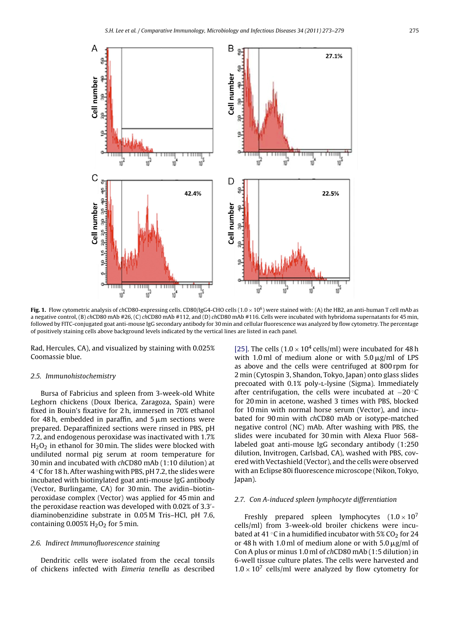<span id="page-2-0"></span>

**Fig. 1.** Flow cytometric analysis of chCD80-expressing cells. CD80/IgG4-CHO cells  $(1.0 \times 10^6)$  were stained with: (A) the HB2, an anti-human T cell mAb as a negative control, (B) chCD80 mAb #26, (C) chCD80 mAb #112, and (D) chCD80 mAb #116. Cells were incubated with hybridoma supernatants for 45 min, followed by FITC-conjugated goat anti-mouse IgG secondary antibody for 30 min and cellular fluorescence was analyzed by flow cytometry. The percentage of positively staining cells above background levels indicated by the vertical lines are listed in each panel.

Rad, Hercules, CA), and visualized by staining with 0.025% Coomassie blue.

#### 2.5. Immunohistochemistry

Bursa of Fabricius and spleen from 3-week-old White Leghorn chickens (Doux Iberica, Zaragoza, Spain) were fixed in Bouin's fixative for 2 h, immersed in 70% ethanol for 48 h, embedded in paraffin, and 5  $\rm \mu m$  sections were prepared. Deparaffinized sections were rinsed in PBS, pH 7.2, and endogenous peroxidase was inactivated with 1.7%  $H<sub>2</sub>O<sub>2</sub>$  in ethanol for 30 min. The slides were blocked with undiluted normal pig serum at room temperature for 30 min and incubated with chCD80 mAb (1:10 dilution) at 4 ◦C for 18 h. After washing with PBS, pH 7.2, the slides were incubated with biotinylated goat anti-mouse IgG antibody (Vector, Burlingame, CA) for 30 min. The avidin–biotinperoxidase complex (Vector) was applied for 45 min and the peroxidase reaction was developed with 0.02% of 3.3 diaminobenzidine substrate in 0.05 M Tris–HCl, pH 7.6, containing  $0.005\%$  H<sub>2</sub>O<sub>2</sub> for 5 min.

## 2.6. Indirect Immunofluorescence staining

Dendritic cells were isolated from the cecal tonsils of chickens infected with Eimeria tenella as described

[\[25\]. T](#page-6-0)he cells ( $1.0 \times 10^4$  cells/ml) were incubated for 48 h with 1.0 ml of medium alone or with  $5.0 \,\mathrm{\mu g/mol}$  of LPS as above and the cells were centrifuged at 800 rpm for 2 min (Cytospin 3, Shandon, Tokyo, Japan) onto glass slides precoated with 0.1% poly-l-lysine (Sigma). Immediately after centrifugation, the cells were incubated at −20 ◦C for 20 min in acetone, washed 3 times with PBS, blocked for 10 min with normal horse serum (Vector), and incubated for 90 min with chCD80 mAb or isotype-matched negative control (NC) mAb. After washing with PBS, the slides were incubated for 30 min with Alexa Fluor 568 labeled goat anti-mouse IgG secondary antibody (1:250 dilution, Invitrogen, Carlsbad, CA), washed with PBS, covered with Vectashield (Vector), and the cells were observed with an Eclipse 80i fluorescence microscope (Nikon, Tokyo, Japan).

#### 2.7. Con A-induced spleen lymphocyte differentiation

Freshly prepared spleen lymphocytes  $(1.0 \times 10^7)$ cells/ml) from 3-week-old broiler chickens were incubated at 41  $\degree$ C in a humidified incubator with 5% CO<sub>2</sub> for 24 or 48 h with 1.0 ml of medium alone or with 5.0  $\mu$ g/ml of Con A plus or minus 1.0 ml of chCD80 mAb (1:5 dilution) in 6-well tissue culture plates. The cells were harvested and  $1.0 \times 10^{7}$  cells/ml were analyzed by flow cytometry for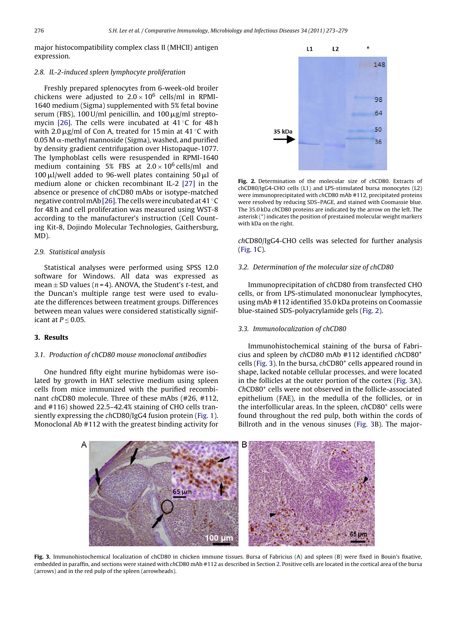major histocompatibility complex class II (MHCII) antigen expression.

## 2.8. IL-2-induced spleen lymphocyte proliferation

Freshly prepared splenocytes from 6-week-old broiler chickens were adjusted to  $2.0 \times 10^6$  cells/ml in RPMI-1640 medium (Sigma) supplemented with 5% fetal bovine serum (FBS), 100 U/ml penicillin, and 100  $\mu$ g/ml strepto-mycin [\[26\].](#page-6-0) The cells were incubated at 41 °C for 48 h with 2.0  $\mu$ g/ml of Con A, treated for 15 min at 41 °C with  $0.05$  M  $\alpha$ -methyl mannoside (Sigma), washed, and purified by density gradient centrifugation over Histopaque-1077. The lymphoblast cells were resuspended in RPMI-1640 medium containing 5% FBS at  $2.0 \times 10^6$  cells/ml and 100  $\mu$ l/well added to 96-well plates containing 50  $\mu$ l of medium alone or chicken recombinant IL-2 [\[27\]](#page-6-0) in the absence or presence of chCD80 mAbs or isotype-matched negative control mAb [\[26\]. T](#page-6-0)he cells were incubated at 41 °C for 48 h and cell proliferation was measured using WST-8 according to the manufacturer's instruction (Cell Counting Kit-8, Dojindo Molecular Technologies, Gaithersburg, MD).

# 2.9. Statistical analysis

Statistical analyses were performed using SPSS 12.0 software for Windows. All data was expressed as mean  $\pm$  SD values (n = 4). ANOVA, the Student's t-test, and the Duncan's multiple range test were used to evaluate the differences between treatment groups. Differences between mean values were considered statistically significant at  $P \leq 0.05$ .

# **3. Results**

#### 3.1. Production of chCD80 mouse monoclonal antibodies

One hundred fifty eight murine hybidomas were isolated by growth in HAT selective medium using spleen cells from mice immunized with the purified recombinant chCD80 molecule. Three of these mAbs (#26, #112, and #116) showed 22.5–42.4% staining of CHO cells transiently expressing the chCD80/IgG4 fusion protein [\(Fig. 1\).](#page-2-0) Monoclonal Ab #112 with the greatest binding activity for



**Fig. 2.** Determination of the molecular size of chCD80. Extracts of chCD80/IgG4-CHO cells (L1) and LPS-stimulated bursa monocytes (L2) were immunoprecipitated with chCD80 mAb #112, precipitated proteins were resolved by reducing SDS–PAGE, and stained with Coomassie blue. The 35.0 kDa chCD80 proteins are indicated by the arrow on the left. The asterisk (\*) indicates the position of prestained molecular weight markers with kDa on the right.

chCD80/IgG4-CHO cells was selected for further analysis [\(Fig. 1C](#page-2-0)).

### 3.2. Determination of the molecular size of chCD80

Immunoprecipitation of chCD80 from transfected CHO cells, or from LPS-stimulated mononuclear lymphocytes, using mAb #112 identified 35.0 kDa proteins on Coomassie blue-stained SDS-polyacrylamide gels (Fig. 2).

### 3.3. Immunolocalization of chCD80

Immunohistochemical staining of the bursa of Fabricius and spleen by chCD80 mAb #112 identified chCD80+ cells (Fig. 3). In the bursa, chCD80<sup>+</sup> cells appeared round in shape, lacked notable cellular processes, and were located in the follicles at the outer portion of the cortex (Fig. 3A). ChCD80+ cells were not observed in the follicle-associated epithelium (FAE), in the medulla of the follicles, or in the interfollicular areas. In the spleen, chCD80<sup>+</sup> cells were found throughout the red pulp, both within the cords of Billroth and in the venous sinuses (Fig. 3B). The major-



**Fig. 3.** Immunohistochemical localization of chCD80 in chicken immune tissues. Bursa of Fabricius (A) and spleen (B) were fixed in Bouin's fixative, embedded in paraffin, and sections were stained with chCD80 mAb #112 as described in Section [2. P](#page-1-0)ositive cells are located in the cortical area of the bursa (arrows) and in the red pulp of the spleen (arrowheads).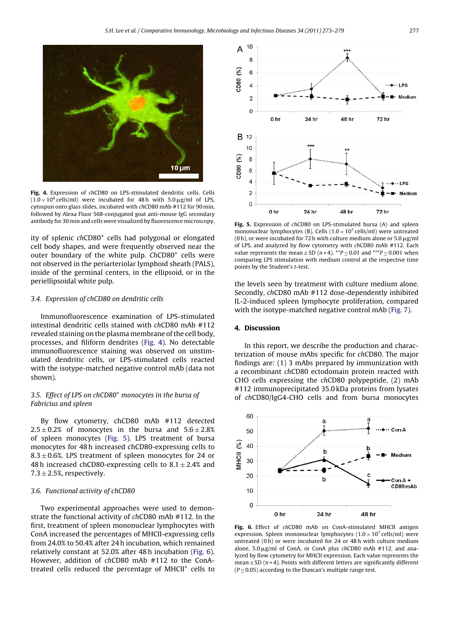

**Fig. 4.** Expression of chCD80 on LPS-stimulated dendritic cells. Cells  $(1.0 \times 10^4 \text{ cells/ml})$  were incubated for 48 h with  $5.0 \,\mu\text{g/ml}$  of LPS, cytospun onto glass slides, incubated with chCD80 mAb #112 for 90 min, followed by Alexa Fluor 568-conjugated goat anti-mouse IgG secondary antibody for 30 min and cells were visualized by fluorescence microscopy.

ity of splenic chCD80<sup>+</sup> cells had polygonal or elongated cell body shapes, and were frequently observed near the outer boundary of the white pulp. ChCD80<sup>+</sup> cells were not observed in the periarteriolar lymphoid sheath (PALS), inside of the germinal centers, in the ellipsoid, or in the periellipsoidal white pulp.

## 3.4. Expression of chCD80 on dendritic cells

Immunofluorescence examination of LPS-stimulated intestinal dendritic cells stained with chCD80 mAb #112 revealed staining on the plasma membrane of the cell body, processes, and filiform dendrites (Fig. 4). No detectable immunofluorescence staining was observed on unstimulated dendritic cells, or LPS-stimulated cells reacted with the isotype-matched negative control mAb (data not shown).

# 3.5. Effect of LPS on chCD80<sup>+</sup> monocytes in the bursa of Fabricius and spleen

By flow cytometry, chCD80 mAb #112 detected  $2.5 \pm 0.2$ % of monocytes in the bursa and  $5.6 \pm 2.8$ % of spleen monocytes (Fig. 5). LPS treatment of bursa monocytes for 48 h increased chCD80-expressing cells to 8.3  $\pm$  0.6%. LPS treatment of spleen monocytes for 24 or 48 h increased chCD80-expressing cells to  $8.1 \pm 2.4\%$  and  $7.3 \pm 2.5$ %, respectively.

# 3.6. Functional activity of chCD80

Two experimental approaches were used to demonstrate the functional activity of chCD80 mAb #112. In the first, treatment of spleen mononuclear lymphocytes with ConA increased the percentages of MHCII-expressing cells from 24.0% to 50.4% after 24 h incubation, which remained relatively constant at 52.0% after 48 h incubation (Fig. 6). However, addition of chCD80 mAb #112 to the ConAtreated cells reduced the percentage of MHCII+ cells to



**Fig. 5.** Expression of chCD80 on LPS-stimulated bursa (A) and spleen mononuclear lymphocytes (B). Cells ( $1.0 \times 10^7$  cells/ml) were untreated (0 h), or were incubated for 72 h with culture medium alone or 5.0  $\mu$ g/ml of LPS, and analyzed by flow cytometry with chCD80 mAb #112. Each value represents the mean  $\pm$  SD (n = 4). \*\*P  $\leq$  0.01 and \*\*\*P  $\leq$  0.001 when comparing LPS stimulation with medium control at the respective time points by the Student's t-test.

the levels seen by treatment with culture medium alone. Secondly, chCD80 mAb #112 dose-dependently inhibited IL-2-induced spleen lymphocyte proliferation, compared with the isotype-matched negative control mAb [\(Fig. 7\).](#page-5-0)

### **4. Discussion**

In this report, we describe the production and characterization of mouse mAbs specific for chCD80. The major findings are: (1) 3 mAbs prepared by immunization with a recombinant chCD80 ectodomain protein reacted with CHO cells expressing the chCD80 polypeptide, (2) mAb #112 immunoprecipitated 35.0 kDa proteins from lysates of chCD80/IgG4-CHO cells and from bursa monocytes



**Fig. 6.** Effect of chCD80 mAb on ConA-stimulated MHCII antigen expression. Spleen mononuclear lymphocytes  $(1.0 \times 10^7 \text{ cells/ml})$  were untreated (0 h) or were incubated for 24 or 48 h with culture medium alone,  $5.0 \mu$ g/ml of ConA, or ConA plus chCD80 mAb #112, and analyzed by flow cytometry for MHCII expression. Each value represents the mean  $\pm$  SD ( $n$  = 4). Points with different letters are significantly different  $(P < 0.05)$  according to the Duncan's multiple range test.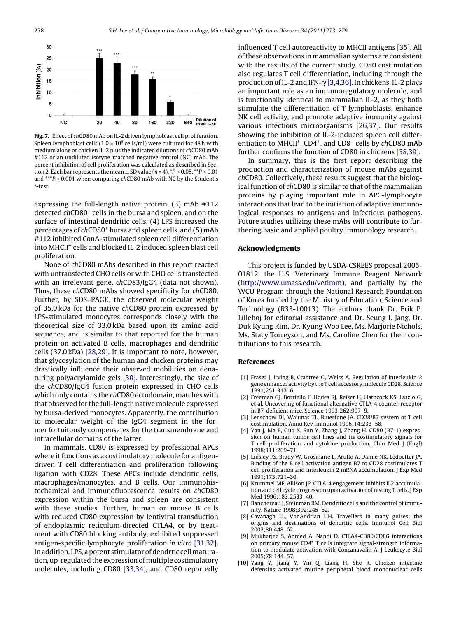<span id="page-5-0"></span>

**Fig. 7.** Effect of chCD80 mAb on IL-2 driven lymphoblast cell proliferation. Spleen lymphoblast cells ( $1.0 \times 10^6$  cells/ml) were cultured for 48 h with medium alone or chicken IL-2 plus the indicated dilutions of chCD80 mAb #112 or an undiluted isotype-matched negative control (NC) mAb. The percent inhibition of cell proliferation was calculated as described in Sec-tion [2. E](#page-1-0)ach bar represents the mean  $\pm$  SD value (n = 4).  $^*P \le 0.05$ ,  $^{**}P \le 0.01$ and \*\*\* $P \le 0.001$  when comparing chCD80 mAb with NC by the Student's t-test.

expressing the full-length native protein, (3) mAb #112 detected chCD80<sup>+</sup> cells in the bursa and spleen, and on the surface of intestinal dendritic cells, (4) LPS increased the percentages of chCD80<sup>+</sup> bursa and spleen cells, and (5) mAb #112 inhibited ConA-stimulated spleen cell differentiation into MHCII+ cells and blocked IL-2 induced spleen blast cell proliferation.

None of chCD80 mAbs described in this report reacted with untransfected CHO cells or with CHO cells transfected with an irrelevant gene, chCD83/IgG4 (data not shown). Thus, these chCD80 mAbs showed specificity for chCD80. Further, by SDS–PAGE, the observed molecular weight of 35.0 kDa for the native chCD80 protein expressed by LPS-stimulated monocytes corresponds closely with the theoretical size of 33.0 kDa based upon its amino acid sequence, and is similar to that reported for the human protein on activated B cells, macrophages and dendritic cells (37.0 kDa) [\[28,29\]. I](#page-6-0)t is important to note, however, that glycosylation of the human and chicken proteins may drastically influence their observed mobilities on denaturing polyacrylamide gels [\[30\].](#page-6-0) Interestingly, the size of the chCD80/IgG4 fusion protein expressed in CHO cells which only contains the chCD80 ectodomain, matches with that observed for the full-length native molecule expressed by bursa-derived monocytes. Apparently, the contribution to molecular weight of the IgG4 segment in the former fortuitously compensates for the transmembrane and intracellular domains of the latter.

In mammals, CD80 is expressed by professional APCs where it functions as a costimulatory molecule for antigendriven T cell differentiation and proliferation following ligation with CD28. These APCs include dendritic cells, macrophages/monocytes, and B cells. Our immunohistochemical and immunofluorescence results on chCD80 expression within the bursa and spleen are consistent with these studies. Further, human or mouse B cells with reduced CD80 expression by lentiviral transduction of endoplasmic reticulum-directed CTLA4, or by treatment with CD80 blocking antibody, exhibited suppressed antigen-specific lymphocyte proliferation in vitro [\[31,32\].](#page-6-0) In addition, LPS, a potent stimulator of dendrtic cellmaturation, up-regulated the expression of multiple costimulatory molecules, including CD80 [\[33,34\],](#page-6-0) and CD80 reportedly

influenced T cell autoreactivity to MHCII antigens [\[35\]. A](#page-6-0)ll of these observations in mammalian systems are consistent with the results of the current study. CD80 costimulation also regulates T cell differentiation, including through the production of IL-2 and IFN- $\gamma$  [3,4,36]. In chickens, IL-2 plays an important role as an immunoregulatory molecule, and is functionally identical to mammalian IL-2, as they both stimulate the differentiation of T lymphoblasts, enhance NK cell activity, and promote adaptive immunity against various infectious microorganisms [\[26,37\].](#page-6-0) Our results showing the inhibition of IL-2-induced spleen cell differentiation to MHCII<sup>+</sup>, CD4<sup>+</sup>, and CD8<sup>+</sup> cells by chCD80 mAb further confirms the function of CD80 in chickens [\[38,39\].](#page-6-0)

In summary, this is the first report describing the production and characterization of mouse mAbs against chCD80. Collectively, these results suggest that the biological function of chCD80 is similar to that of the mammalian proteins by playing important role in APC-lymphocyte interactions that lead to the initiation of adaptive immunological responses to antigens and infectious pathogens. Future studies utilizing these mAbs will contribute to furthering basic and applied poultry immunology research.

### **Acknowledgments**

This project is funded by USDA-CSREES proposal 2005- 01812, the U.S. Veterinary Immune Reagent Network [\(http://www.umass.edu/vetimm\)](http://www.umass.edu/vetimm), and partially by the WCU Program through the National Research Foundation of Korea funded by the Ministry of Education, Science and Technology (R33-10013). The authors thank Dr. Erik P. Lillehoj for editorial assistance and Dr. Seung I. Jang, Dr. Duk Kyung Kim, Dr. Kyung Woo Lee, Ms. Marjorie Nichols, Ms. Stacy Torreyson, and Ms. Caroline Chen for their contributions to this research.

### **References**

- [1] Fraser J, Irving B, Crabtree G, Weiss A. Regulation of interleukin-2 gene enhancer activity by the T cell accessorymolecule CD28. Science 1991;251:313–6.
- [2] Freeman GJ, Borriello F, Hodes RJ, Reiser H, Hathcock KS, Laszlo G, et al. Uncovering of functional alternative CTLA-4 counter-receptor in B7-deficient mice. Science 1993;262:907–9.
- [3] Lenschow DJ, Walunas TL, Bluestone JA. CD28/B7 system of T cell costimulation. Annu Rev Immunol 1996;14:233–58.
- [4] Yan J, Ma B, Guo X, Sun Y, Zhang J, Zhang H. CD80 (B7-1) expression on human tumor cell lines and its costimulatory signals for T cell proliferation and cytokine production. Chin Med J (Engl) 1998;111:269–71.
- [5] Linsley PS, Brady W, Grosmarie L, Aruffo A, Damle NK, Ledbetter JA. Binding of the B cell activation antigen B7 to CD28 costimulates T cell proliferation and interleukin 2 mRNA accumulation. J Exp Med 1991;173:721–30.
- [6] Krummel MF, Allison JP. CTLA-4 engagement inhibits IL2 accumulation and cell cycle progression upon activation of resting T cells. J Exp Med 1996;183:2533–40.
- [7] Banchereau J, Steinman RM. Dendritic cells and the control of immunity. Nature 1998;392:245–52.
- [8] Cavanagh LL, VonAndrian UH. Travellers in many guises: the origins and destinations of dendritic cells. Immunol Cell Biol 2002;80:448–62.
- [9] Mukherjee S, Ahmed A, Nandi D. CTLA4-CD80/CD86 interactions on primary mouse CD4<sup>+</sup> T cells integrate signal-strength information to modulate activation with Concanavalin A. J Leukocyte Biol 2005;78:144–57.
- [10] Yang Y, Jiang Y, Yin Q, Liang H, She R. Chicken intestine defensins activated murine peripheral blood mononuclear cells